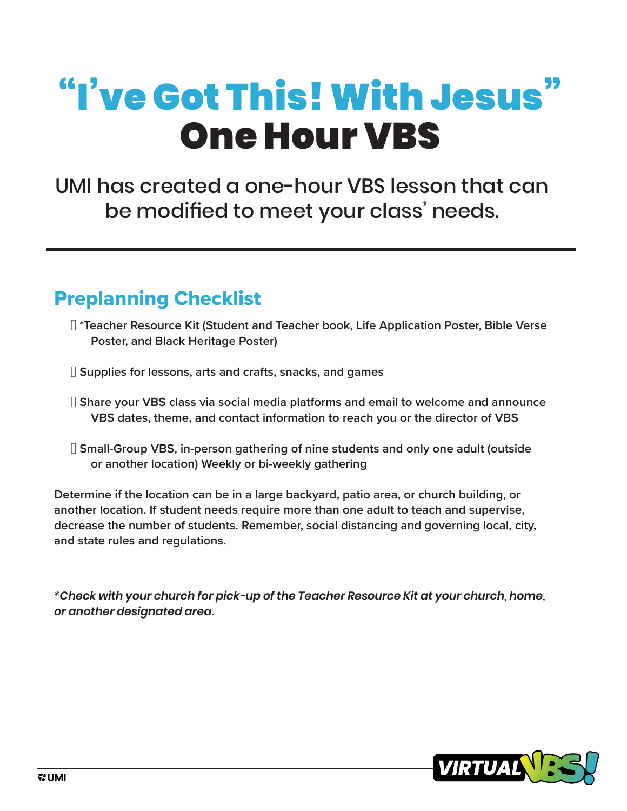# "I've Got This! With Jesus" One Hour VBS

UMI has created a one-hour VBS lesson that can be modified to meet your class' needs.

# Preplanning Checklist

**□ \*Teacher Resource Kit (Student and Teacher book, Life Application Poster, Bible Verse Poster, and Black Heritage Poster)**

**□ Supplies for lessons, arts and crafts, snacks, and games**

**□ Share your VBS class via social media platforms and email to welcome and announce VBS dates, theme, and contact information to reach you or the director of VBS**

**□ Small-Group VBS, in-person gathering of nine students and only one adult (outside or another location) Weekly or bi-weekly gathering**

**Determine if the location can be in a large backyard, patio area, or church building, or another location. If student needs require more than one adult to teach and supervise, decrease the number of students. Remember, social distancing and governing local, city, and state rules and regulations.**

*\*Check with your church for pick-up of the Teacher Resource Kit at your church, home, or another designated area.*

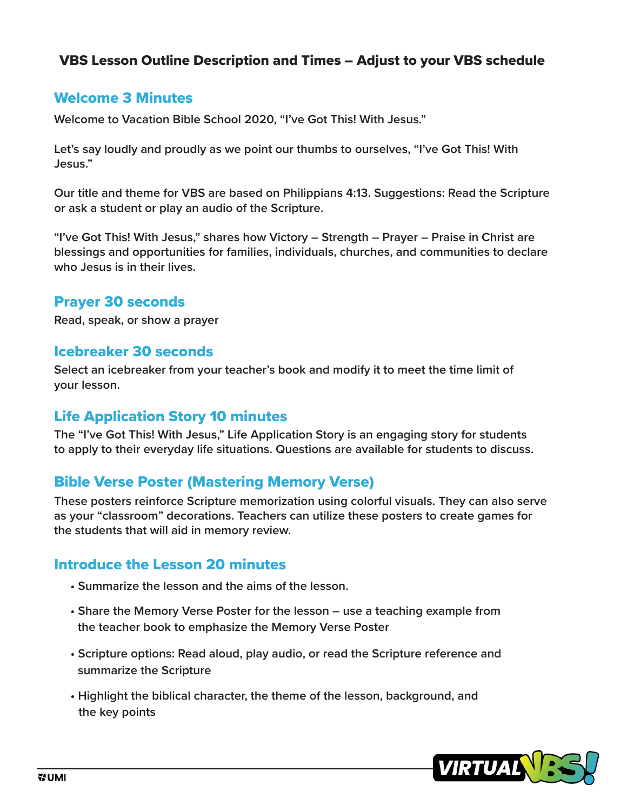#### VBS Lesson Outline Description and Times – Adjust to your VBS schedule

#### Welcome 3 Minutes

**Welcome to Vacation Bible School 2020, "I've Got This! With Jesus."** 

**Let's say loudly and proudly as we point our thumbs to ourselves, "I've Got This! With Jesus."**

**Our title and theme for VBS are based on Philippians 4:13. Suggestions: Read the Scripture or ask a student or play an audio of the Scripture.**

**"I've Got This! With Jesus," shares how Victory – Strength – Prayer – Praise in Christ are blessings and opportunities for families, individuals, churches, and communities to declare who Jesus is in their lives.**

#### Prayer 30 seconds

**Read, speak, or show a prayer**

#### Icebreaker 30 seconds

**Select an icebreaker from your teacher's book and modify it to meet the time limit of your lesson.** 

#### Life Application Story 10 minutes

**The "I've Got This! With Jesus," Life Application Story is an engaging story for students to apply to their everyday life situations. Questions are available for students to discuss.**

# Bible Verse Poster (Mastering Memory Verse)

**These posters reinforce Scripture memorization using colorful visuals. They can also serve as your "classroom" decorations. Teachers can utilize these posters to create games for the students that will aid in memory review.**

#### Introduce the Lesson 20 minutes

- **Summarize the lesson and the aims of the lesson.**
- **Share the Memory Verse Poster for the lesson use a teaching example from the teacher book to emphasize the Memory Verse Poster**
- **Scripture options: Read aloud, play audio, or read the Scripture reference and summarize the Scripture**
- **Highlight the biblical character, the theme of the lesson, background, and the key points**